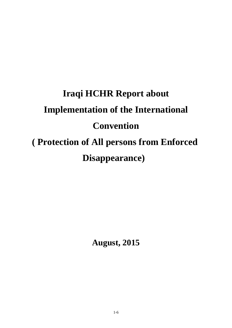## **Iraqi HCHR Report about Implementation of the International Convention ( Protection of All persons from Enforced Disappearance)**

**August, 2015**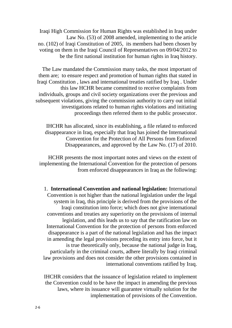Iraqi High Commission for Human Rights was established in Iraq under Law No. (53) of 2008 amended, implementing to the article no. (102) of Iraqi Constitution of 2005, its members had been chosen by voting on them in the Iraqi Council of Representatives on 09/04/2012 to be the first national institution for human rights in Iraq history.

The Law mandated the Commission many tasks, the most important of them are; to ensure respect and promotion of human rights that stated in Iraqi Constitution , laws and international treaties ratified by Iraq . Under this law HCHR became committed to receive complaints from individuals, groups and civil society organizations over the previous and subsequent violations, giving the commission authority to carry out initial investigations related to human rights violations and initiating proceedings then referred them to the public prosecutor.

IHCHR has allocated, since its establishing, a file related to enforced disappearance in Iraq, especially that Iraq has joined the International Convention for the Protection of All Persons from Enforced Disappearances, and approved by the Law No. (17) of 2010.

HCHR presents the most important notes and views on the extent of implementing the International Convention for the protection of persons from enforced disappearances in Iraq as the following:

1. **International Convention and national legislation:** International Convention is not higher than the national legislation under the legal system in Iraq, this principle is derived from the provisions of the Iraqi constitution into force; which does not give international conventions and treaties any superiority on the provisions of internal legislation, and this leads us to say that the ratification law on International Convention for the protection of persons from enforced disappearance is a part of the national legislation and has the impact in amending the legal provisions preceding its entry into force, but it is true theoretically only, because the national judge in Iraq, particularly in the criminal courts, adhere literally by Iraqi criminal law provisions and does not consider the other provisions contained in international conventions ratified by Iraq.

IHCHR considers that the issuance of legislation related to implement the Convention could to be have the impact in amending the previous laws, where its issuance will guarantee virtually solution for the implementation of provisions of the Convention.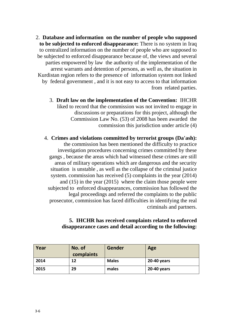2. **Database and information on the number of people who supposed to be subjected to enforced disappearance:** There is no system in Iraq to centralized information on the number of people who are supposed to be subjected to enforced disappearance because of, the views and several parties empowered by law the authority of the implementation of the arrest warrants and detention of persons, as well as, the situation in Kurdistan region refers to the presence of information system not linked by federal government , and it is not easy to access to that information from related parties.

3. **Draft law on the implementation of the Convention:** IHCHR liked to record that the commission was not invited to engage in discussions or preparations for this project, although the Commission Law No. (53) of 2008 has been awarded the commission this jurisdiction under article (4)

4. **Crimes and violations committed by terrorist groups (Da'ash):** the commission has been mentioned the difficulty to practice investigation procedures concerning crimes committed by these gangs , because the areas which had witnessed these crimes are still areas of military operations which are dangerous and the security situation is unstable , as well as the collapse of the criminal justice system. commission has received (5) complaints in the year (2014) and (15) in the year (2015) where the claim those people were subjected to enforced disappearances, commission has followed the legal proceedings and referred the complaints to the public prosecutor, commission has faced difficulties in identifying the real criminals and partners.

## **5. IHCHR has received complaints related to enforced disappearance cases and detail according to the following:**

| Year | No. of<br>complaints | Gender       | Age         |
|------|----------------------|--------------|-------------|
| 2014 | 12                   | <b>Males</b> | 20-40 years |
| 2015 | 29                   | males        | 20-40 years |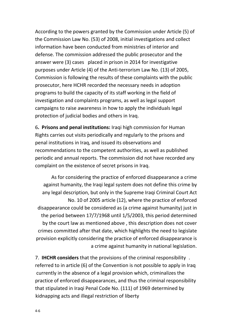According to the powers granted by the Commission under Article (5) of the Commission Law No. (53) of 2008, initial investigations and collect information have been conducted from ministries of interior and defense. The commission addressed the public prosecutor and the answer were (3) cases placed in prison in 2014 for investigative purposes under Article (4) of the Anti-terrorism Law No. (13) of 2005, Commission is following the results of these complaints with the public prosecutor, here HCHR recorded the necessary needs in adoption programs to build the capacity of its staff working in the field of investigation and complaints programs, as well as legal support campaigns to raise awareness in how to apply the individuals legal protection of judicial bodies and others in Iraq.

6**. Prisons and penal institutions:** Iraqi high commission for Human Rights carries out visits periodically and regularly to the prisons and penal institutions in Iraq, and issued its observations and recommendations to the competent authorities, as well as published periodic and annual reports. The commission did not have recorded any complaint on the existence of secret prisons in Iraq.

As for considering the practice of enforced disappearance a crime against humanity, the Iraqi legal system does not define this crime by any legal description, but only in the Supreme Iraqi Criminal Court Act No. 10 of 2005 article (12), where the practice of enforced disappearance could be considered as (a crime against humanity) just in the period between 17/7/1968 until 1/5/2003, this period determined by the court law as mentioned above , this description does not cover crimes committed after that date, which highlights the need to legislate provision explicitly considering the practice of enforced disappearance is a crime against humanity in national legislation.

7. **IHCHR considers** that the provisions of the criminal responsibility . referred to in article (6) of the Convention is not possible to apply in Iraq currently in the absence of a legal provision which, criminalizes the practice of enforced disappearances, and thus the criminal responsibility that stipulated in Iraqi Penal Code No. (111) of 1969 determined by -4kidnapping acts and illegal restriction of liberty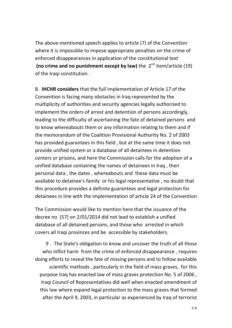The above-mentioned speech applies to article (7) of the Convention where it is impossible to impose appropriate penalties on the crime of enforced disappearances in application of the constitutional text (no crime and no punishment except by law) the 2<sup>nd</sup> item/article (19) of the Iraqi constitution .

8. **IHCHR considers** that the full implementation of Article 17 of the Convention is facing many obstacles in Iraq represented by the multiplicity of authorities and security agencies legally authorized to implement the orders of arrest and detention of persons accordingly, leading to the difficulty of ascertaining the fate of detained persons and to know whereabouts them or any information relating to them and if the memorandum of the Coalition Provisional Authority No. 2 of 2003 has provided guarantees in this field , but at the same time it does not provide unified system or a database of all detainees in detention centers or prisons, and here the Commission calls for the adoption of a unified database containing the names of detainees in Iraq , their personal data , the dates , whereabouts and these data must be available to detainee's family or his legal representative , no doubt that this procedure provides a definite guarantees and legal protection for detainees in line with the implementation of article 24 of the Convention

The Commission would like to mention here that the issuance of the decree no (57) on 2/01/2014 did not lead to establish a unified database of all detained persons, and those who arrested in which covers all Iraqi provinces and be accessible by stakeholders.

9 . The State's obligation to know and uncover the truth of all those who inflict harm from the crime of enforced disappearance , requires doing efforts to reveal the fate of missing persons and to follow available scientific methods , particularly in the field of mass graves, for this purpose Iraq has enacted law of mass graves protection No. 5 of 2006 , Iraqi Council of Representatives did well when enacted amendment of this law where expand legal protection to the mass graves that formed after the April 9, 2003, in particular as experienced by Iraq of terrorist